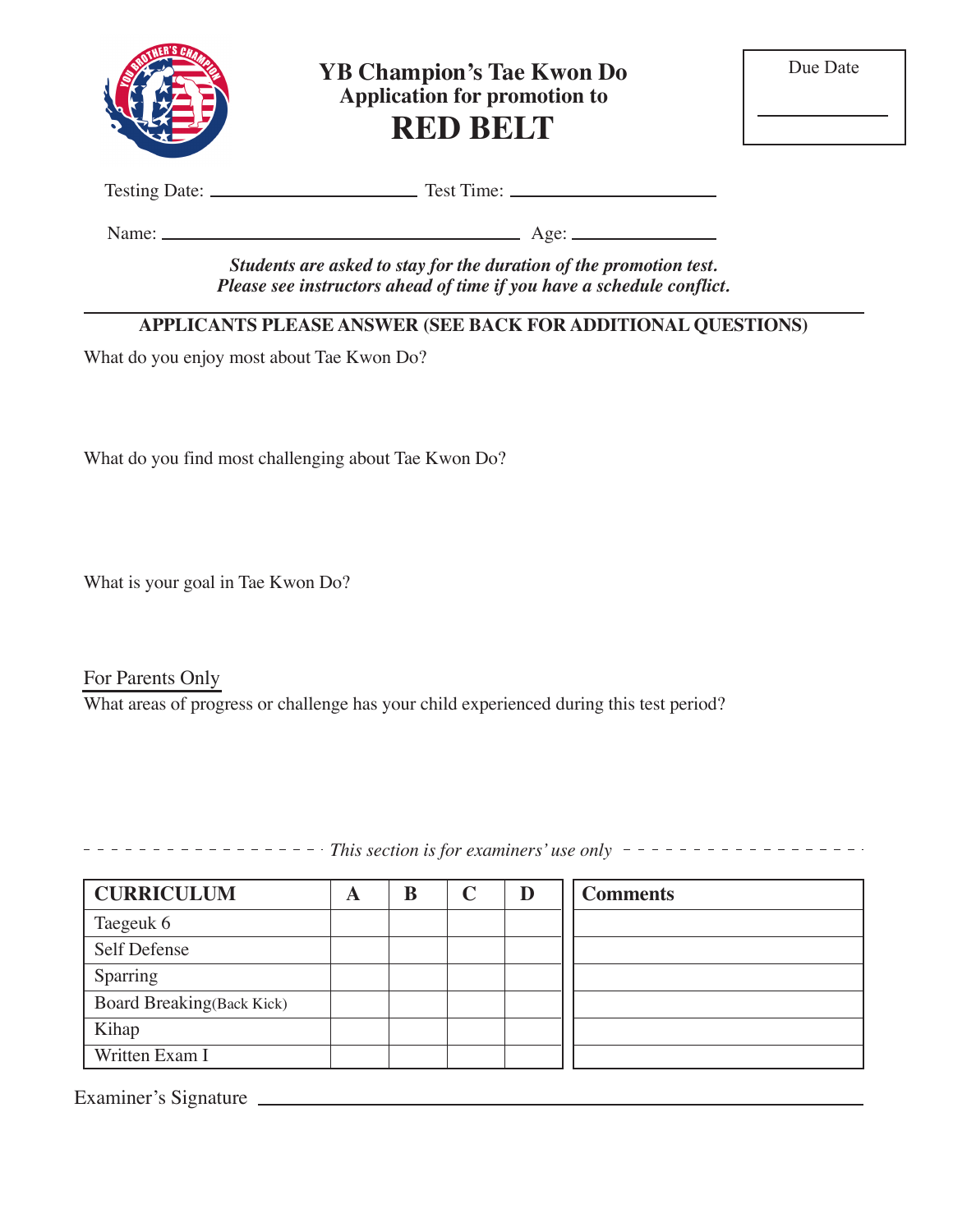

**YB Champion's Tae Kwon Do Application for promotion to RED BELT**

Testing Date: Test Time:

Name: Age:

*Students are asked to stay for the duration of the promotion test. Please see instructors ahead of time if you have a schedule conflict.*

## **APPLICANTS PLEASE ANSWER (SEE BACK FOR ADDITIONAL QUESTIONS)**

What do you enjoy most about Tae Kwon Do?

What do you find most challenging about Tae Kwon Do?

What is your goal in Tae Kwon Do?

For Parents Only What areas of progress or challenge has your child experienced during this test period?

*This section is for examiners' use only* 

| <b>CURRICULUM</b>                | A | B | D | <b>Comments</b> |
|----------------------------------|---|---|---|-----------------|
| Taegeuk 6                        |   |   |   |                 |
| Self Defense                     |   |   |   |                 |
| Sparring                         |   |   |   |                 |
| <b>Board Breaking(Back Kick)</b> |   |   |   |                 |
| Kihap                            |   |   |   |                 |
| Written Exam I                   |   |   |   |                 |

Examiner's Signature